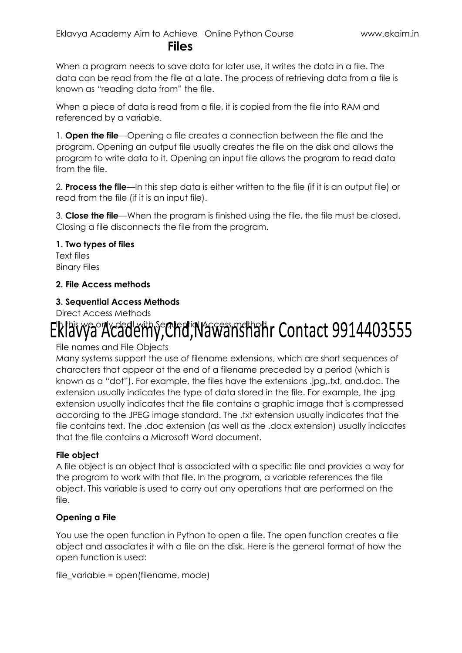#### **Files**

When a program needs to save data for later use, it writes the data in a file. The data can be read from the file at a late. The process of retrieving data from a file is known as "reading data from" the file.

When a piece of data is read from a file, it is copied from the file into RAM and referenced by a variable.

1. **Open the file**—Opening a file creates a connection between the file and the program. Opening an output file usually creates the file on the disk and allows the program to write data to it. Opening an input file allows the program to read data from the file.

2. **Process the file**—In this step data is either written to the file (if it is an output file) or read from the file (if it is an input file).

3. **Close the file**—When the program is finished using the file, the file must be closed. Closing a file disconnects the file from the program.

#### **1. Two types of files**

Text files Binary Files

#### **2. File Access methods**

#### **3. Sequential Access Methods**

Direct Access Methods

## Eklawa Academy, Chd, Nawanshahr Contact 9914403555

File names and File Objects

Many systems support the use of filename extensions, which are short sequences of characters that appear at the end of a filename preceded by a period (which is known as a "dot"). For example, the files have the extensions .jpg,.txt, and.doc. The extension usually indicates the type of data stored in the file. For example, the .jpg extension usually indicates that the file contains a graphic image that is compressed according to the JPEG image standard. The .txt extension usually indicates that the file contains text. The .doc extension (as well as the .docx extension) usually indicates that the file contains a Microsoft Word document.

#### **File object**

A file object is an object that is associated with a specific file and provides a way for the program to work with that file. In the program, a variable references the file object. This variable is used to carry out any operations that are performed on the file.

#### **Opening a File**

You use the open function in Python to open a file. The open function creates a file object and associates it with a file on the disk. Here is the general format of how the open function is used:

```
file variable = open(filename, mode)
```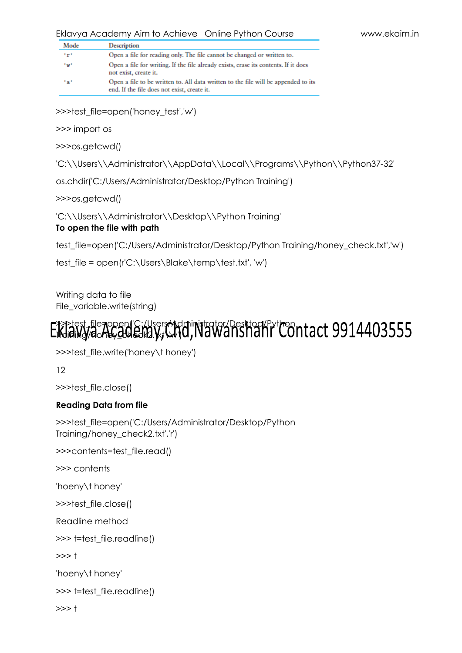| Eklavya Academy Aim to Achieve Online Python Course |  |
|-----------------------------------------------------|--|
|-----------------------------------------------------|--|

| Mode | Description                                                                                                                       |
|------|-----------------------------------------------------------------------------------------------------------------------------------|
| 'r'  | Open a file for reading only. The file cannot be changed or written to.                                                           |
| "w"  | Open a file for writing. If the file already exists, erase its contents. If it does<br>not exist, create it.                      |
| tat. | Open a file to be written to. All data written to the file will be appended to its<br>end. If the file does not exist, create it. |

>>>test\_file=open('honey\_test','w')

>>> import os

>>>os.getcwd()

'C:\\Users\\Administrator\\AppData\\Local\\Programs\\Python\\Python37-32'

os.chdir('C:/Users/Administrator/Desktop/Python Training')

>>>os.getcwd()

'C:\\Users\\Administrator\\Desktop\\Python Training'

#### **To open the file with path**

test\_file=open('C:/Users/Administrator/Desktop/Python Training/honey\_check.txt','w')

test\_file = open(r'C:\Users\Blake\temp\test.txt', 'w')

Writing data to file File\_variable.write(string)

#### >>>test\_file=open('C:/Users/Administrator/Desktop/Python Training/honey\_check2.txt','w')

>>>test\_file.write('honey\t honey')

12

>>>test\_file.close()

#### **Reading Data from file**

```
>>>test_file=open('C:/Users/Administrator/Desktop/Python 
Training/honey_check2.txt','r')
```
>>>contents=test\_file.read()

>>> contents

'hoeny\t honey'

>>>test\_file.close()

Readline method

>>> t=test\_file.readline()

 $>>$  t

'hoeny\t honey'

```
>>> t=test_file.readline()
```
 $>>$  t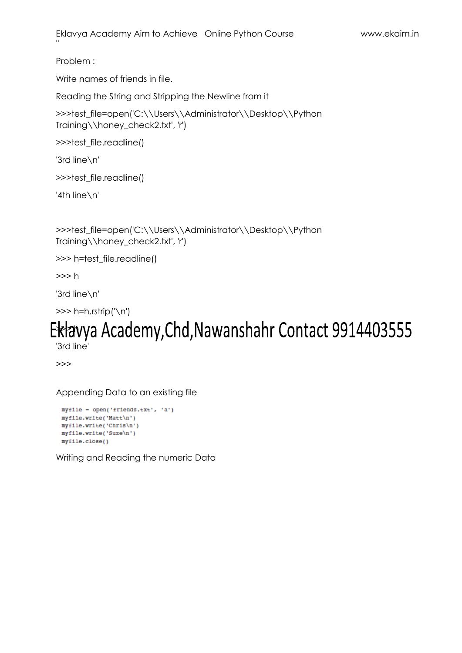Problem :

Write names of friends in file.

Reading the String and Stripping the Newline from it

>>>test\_file=open('C:\\Users\\Administrator\\Desktop\\Python Training\\honey\_check2.txt', 'r')

>>>test\_file.readline()

'3rd line\n'

>>>test\_file.readline()

'4th line\n'

>>>test\_file=open('C:\\Users\\Administrator\\Desktop\\Python Training\\honey\_check2.txt', 'r')

>>> h=test\_file.readline()

>>> h

'3rd line\n'

>>> h=h.rstrip('\n')

# Eklavya Academy, Chd, Nawanshahr Contact 9914403555

'3rd line'

>>>

Appending Data to an existing file

```
myfile - open('friends.txt', 'a')
myfile.write('Matt\n')
myfile.write('Chris\n')
myfile.write('Suze\n')
myfile.close()
```
Writing and Reading the numeric Data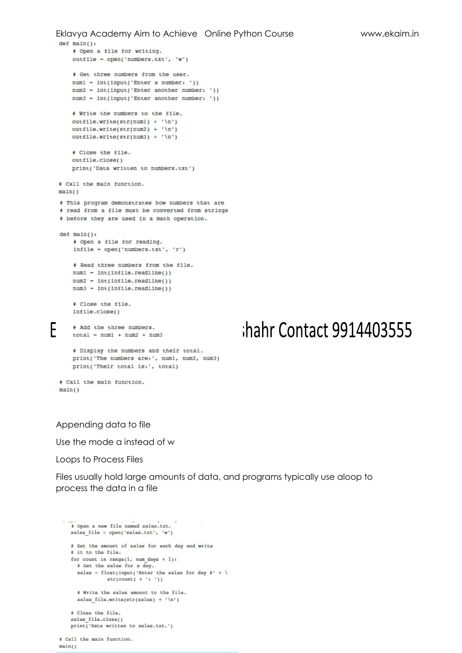```
Eklavya Academy Aim to Achieve Online Python Course www.ekaim.in
  def \ \tmin():
      # Open a file for writing.
      outfile - open('numbers.txt', 'w')
      + Get three numbers from the user.
      num1 = int(input('Enter a number:'))num2 - int(input('Enter another number: '))
      num3 - int(input('Enter another number: '))
      # Write the numbers to the file.
      outfile.write(str(num1) + 'n')outfile.write(str(num2) + 'n')outfile.write(str(num3) + 'n')# Close the file.
      outfile.close()print('Data written to numbers.txt')
  # Call the main function.
  main()# This program demonstrates how numbers that are
  # read from a file must be converted from strings
  # before they are used in a math operation.
  def <math>main()</math>+ Open a file for reading.
      \verb+infile = open('numbers.txt', 'r')# Read three numbers from the file.
      num1 - int(intfile.readline())num2 - int(intfile.readline())num3 - int(intfile.readline())# Close the file.
      infile.close()
F
      # Add the three numbers.
      total = num1 + num2 + num3# Display the numbers and their total.
      print('The numbers are:', numl, num2, num3)
      print('Their total is:', total)
  # Call the main function.
  main()
```
## hahr Contact 9914403555

#### Appending data to file

Use the mode a instead of w

Loops to Process Files

Files usually hold large amounts of data, and programs typically use aloop to process the data in a file

```
# Open a new file named sales.txt.
sales file = open('sales.txt', 'w')
# Get the amount of sales for each day and write
# it to the file.
for count in range(1, num days + 1):
  # Cet the sales for a day.
 sales = float(input('Enter the sales for day #' + \
            str(count) + '(-')# Write the sales amount to the file.
  sales file.write(str(sales) + '\n')
# Close the file.
sales_file.close()
print('Data written to sales.txt.')
```
# Call the main function.  $min()$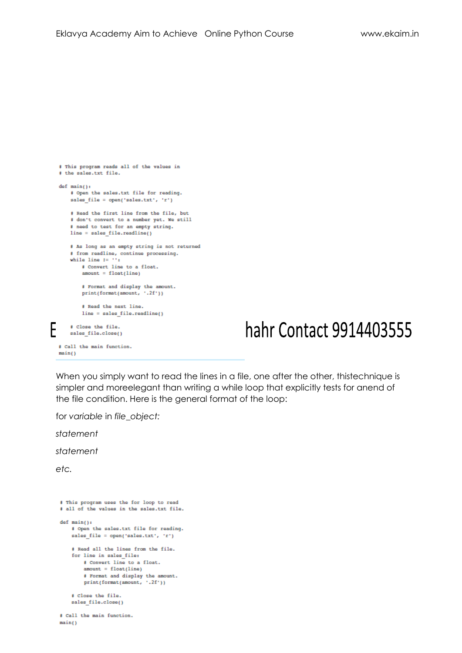```
# This program reads all of the values in
  # the sales.txt file.
  def main():# Open the sales.txt file for reading.
      sales_file = open('sales.txt', 'r')
       # Read the first line from the file, but
       # don't convert to a number yet. We still
      # need to test for an empty string.
      line = sales file.readline()# As long as an empty string is not returned
      # from readline, continue processing.
      while line I = \cdots:
          # Convert line to a float.
          amount = float(line)# Format and display the amount.
          print(format(amount, '.2f'))
          # Read the next line.
          line = sales file.readline()
F
      # Close the file.
      sales_file.close()
  # Call the main function.
  min()
```
### hahr Contact 9914403555

When you simply want to read the lines in a file, one after the other, thistechnique is simpler and moreelegant than writing a while loop that explicitly tests for anend of the file condition. Here is the general format of the loop:

for *variable* in *file\_object:*

*statement*

*statement*

*etc.*

 $main()$ 

```
# This program uses the for loop to read
# all of the values in the sales.txt file.
def main():
   # Open the sales.txt file for reading.
   sales file = open('sales.txt', 'r')
   # Read all the lines from the file.
   for line in sales file:
       # Convert line to a float.
       amount = float(line)# Format and display the amount.
       print(format(amount, '.2f'))
   # Close the file.
   sales file.close()
# Call the main function.
```